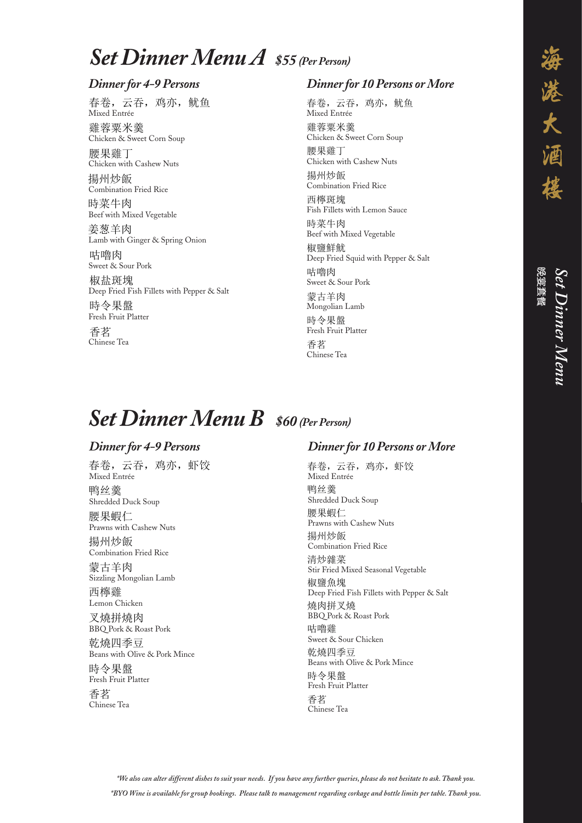Mixed Entrée Chinese Tea 鸭丝羹 Shredded Duck Soup 腰果蝦仁 春卷,云吞,鸡亦,虾饺 鸭丝羹<br>3. With Cashew Nuts ,<br>春卷,云吞,鸡亦,虾饺  $\overline{B} \subseteq Y \subseteq H$ ,  $\overline{A} \cup \overline{A}$ ,  $\overline{A} \cup \overline{A}$ <br>Mixed Entrée 夫<del>类 二天</del> 地亦 邮榜

Shredded Duck Soup Shredded Duck Soup 腰果蝦仁 Prawns with Cashew Nuts 揚州炒飯 Shredded Duck Soup

Prawns with Cashew Nuts<br>F 腰果蝦仁  $\sum_{n=1}^{\infty}$   $\sum_{n=1}^{\infty}$  Frawns with Cashew Nuts 腰果蝦仁<br>F 요츠 기도세즈<br>Prawns wi

Praynths We 揚州炒飯<br>combination Fried Rice Sizzling Mongolian Rice<br>
The Lamberton Rice 揚州炒飯<br>图

Sizzling Mongolian Lamb 家白丰凶<br>Sizzling Mongolian Lamb<br>玉燃酪 蒙古羊肉 Sizzling Mongolian L 蒙古羊肉  $\overline{B}$  and  $\overline{B}$  and  $\overline{B}$  and  $\overline{B}$  are  $\overline{B}$  and  $\overline{B}$  are  $\overline{B}$  and  $\overline{B}$  are  $\overline{B}$  and  $\overline{B}$  and  $\overline{B}$  are  $\overline{B}$  and  $\overline{B}$  are  $\overline{B}$  and  $\overline{B}$  and  $\overline{B}$  are  $\overline{B}$  and

四骨類<br>Lemon Chicken<br>ヌは以はち 西檸雞

<sub>Lemon</sub> c<sub>heken</sub><br>叉燒拼燒肉

### $Dinner$  for 10 Persons or More Dinner for 10 Pers  $\Gamma$   $\Gamma$  $Dinner for 10 \: Persons$  or  $More$ Dinner for 10 Persons o Dinner for 10 Persons d

Deep Fried Fish Fillets with Pepper & Salt 燒肉拼叉燒<br><br>Poop tash Pork 极鹽忠垅<br>Deep Fried Fish Fillets with Pepper & Salt<br>は中以豆は <sub>Sti</sub>r Mith *X Is*t<br>BBQ Pork & Roast Pork<br>קישור ה Deep Fried Fish Fillets with Pepper & Salt 燒肉拼叉燒 Roast Pork& BBQ Pork 咕嚕雞 BBQ Pork & Roast Pork →<br>虛肉拼▽榁

BBQ Pork & Roast Pork 清炒雜菜 Sweet & Sour Chicken<br>  $\pm b$  L $\pm m$ 咕嚕雞 며 <br>Pareet & Sour Chicken<br>长大原 三 二 புப் புஜலத்<br>Sweet & Sour Chicken

Beans with Olive & Pork Mince 乾燒四季豆 <sub>무ረ 》梵 四 李 <sub>모.</sub><br>Beans with Olive & Pork Min<br>고...</sub> 乾雅四学<br>Beans with Olive & Pork Mince

吋マ木笽<br>Fresh Fruit Platter<br>エサ 時令果盤<br>Fresh Fruit Platter 时令未溫<br>Fresh Fruit Platter<br>壬出

省名<br>Chinese Tea 香茗 省名<br>Clive To Porch Mince Chinese Tea

\*We also can alter different dishes to suit your needs. If you have any further queries, please do not hesitate to ask. Thank you.<br>. *\*BYO Wine is available for group bookings. Please talk to management regarding corkage and bottle limits per table. Thank you.* 時令果盤 Fresh Fruit Platter Beans with Olive & Pork Mince  $\begin{aligned} \mathcal{L}_{\mathcal{F}}\bullet\mathcal{F}_{\mathcal{F}} \end{aligned}$  $^{\ast }We$  also can alter different Chinese Tea Chinese Tea 乾燒四季豆 Beans with Olive & Pork Mince 時令果盤  $\ddot{\phantom{1}}$ ent regarding corkage and bottle ny further queries, please do not .

며 "晋 [시]<br>Sweet & Sour Pork<br>사고 및 공공 [호 咕嚕肉 Sweet & Sour Pork 椒盐斑塊 Deep Fried Fish Fillets with Pepper & Salt

#### $Set$  *Dinner Menu**A* **\$55<sup></sup>** *(Per Person)* **Set Menu A (4-9 persons) \$53**  $\sim$ Set Dinner Mer  $C_{\mathcal{L}} \mathbf{D}^*$   $\mathbf{M}$  $\sim$ Set Dinner Menu A \$55 (Per Person) **Set Menu A (10 persons or more) \$53 Set Menu A (10 persons or more) \$53**  $\alpha$  is exposed. Per Person)  $C_{\text{L}}$  choing  $\frac{1}{2}$ Chicken with Cashew Nuts

# **Dinner for 4-9 Persons** Dinner for 4-9 Persons  $\mathbf{D}^*$   $\mathbf{C}$

 $\frac{1}{\sqrt{2}}$   $\frac{1}{\sqrt{2}}$   $\frac{1}{\sqrt{2}}$   $\frac{1}{\sqrt{2}}$   $\frac{1}{\sqrt{2}}$   $\frac{1}{\sqrt{2}}$   $\frac{1}{\sqrt{2}}$   $\frac{1}{\sqrt{2}}$   $\frac{1}{\sqrt{2}}$   $\frac{1}{\sqrt{2}}$   $\frac{1}{\sqrt{2}}$   $\frac{1}{\sqrt{2}}$   $\frac{1}{\sqrt{2}}$   $\frac{1}{\sqrt{2}}$   $\frac{1}{\sqrt{2}}$   $\frac{1}{\sqrt{2}}$   $\frac{1}{\sqrt{2}}$  春卷,云吞,鸡亦,鱿鱼<br>Mixel Entrée ,<br>春卷,云吞,鸡亦,鱿鱼  $Mixed Entrée$ 去去 元天 如亦 船角

Chicken & Sweet Corn Soup 雞蓉粟米羹<br>Chicken Sashew Combination Fried Rice 雞谷来不美<br>Chicken & Sweet Corn Soup<br>聖巴拿 ALAMINE

Chicken with Cashew Nuts<br>EXECUTE AF 腰果雞丁<br>Sweet with Mixed With Mixed Soup |按未発 J<br>Chicken with Cashew Nuts<br>|ロハトゲ AX AXAL J<br>Chicken with

Combination Fried Rice 揚州炒飯<br>Combination Fried Rice France<br>Combination Fried Rice 揚州炒飯 扬州发取<br>Gentionial Fiel Pie

時米十内<br>Beef with Mixed Vegetable<br>苄苯并 時菜牛肉 なんじょう しゅうしょく 吁<del>来</del>十内<br>Beef with Mixed Vegetable<br>※共 \*

安忽干内<br>Lamb with Ginger & Spring Onion<br>さばら 姜葱羊肉 安忽キ凶<br>Lamb with Ginger & Spring Onion<br>T-LF负土

Deep Fried Fish Fillets with Pepper  $\&$  Salt sweet & Sour Pork 似血斑塊<br>Deep Fried Fish Fillets with Pepper & Salt<br>The A FI 的 Deep Fried Fish Fillets with Pepper & Salt 時令果盤 **Set Menu B (4-9 persons) \$58**

Fresh Fruit Platter Beep rited rish riffees with repper cosalt<br>時令果盤 Presh Fruit Platter<br>
The Base of the Salt of the Salt of the Salt of the Salt of the Salt of the Salt of the Salt of the Salt of the Salt of the Salt of the Salt of the Salt of the Salt of the Salt of the Salt of the Salt Deep Fried Fish Fillets with Pepper & Salt 時令果盤 Fresh Fruit Platter 吋安木笽.<br>Frech Fruit Platter

省名<br>Chinese Tea 香茗 Sumese Tea deep Free<br>Chinaa Taas Africa with Pepper and Pepper and Pepper and Pepper and Pepper and Pepper and Pepper and Pepper an<br>Table Pepper and Pepper and Pepper and Pepper and Pepper and Pepper and Pepper and Pepper and Pepper  $\overline{\mathcal{R}}$ Mixed Entre

## **Dinner for 10 Persons or More** Dinner for 10 Persons or Dinner for 10 Persons of

**Set Menu A (10 persons or more) \$53**

**Set Menu A (10 persons or more) \$53**

**Set Menu A (10 persons or more) \$53**

Set Dinner Menu *Set Dinner Menu* **Set Menu B (10 persons or more) \$58 Set Menu B (10 persons or more) \$58 Set Menu B (10 persons or more) \$58**

 $BBQ$  Pork & Roast Pork 又燒拼燒肉<br>PPO P-1 % P-1 X 乾燒四季豆<br>Presentit Olive Sc Perk Micro BBQ Pork & Roast P 乾燒四季豆 BBQ Pork & Roast Pork

Beans with Olive & Pork Mince<br>R± A Beans with Olive & Pork Mince  $B$ eans with  $C$ 

Fresh Fruit Platter 時令果盤<br><sub>Roa</sub>k Roast Roast Fresh Fruit Platter 時令果盤

甘名<br>Chinese Tea 香茗 省名<br>Clive Mince 문 H<br>Chinese Tea

**Set Menu A (10 persons or more) \$53**

Mixed Entrée 春卷,云吞,鸡亦,鱿鱼<br>Mind Entrée 春卷,云吞,鸡亦,鱿鱼<br>Michaet 春卷,云吞,鸡亦,鱿鱼<br>Ai Mixed Entr

Chicken & Sweet Corn Soup 雞蓉粟米羹 <sub>郑 谷 米 小 美<br>Chicken & Sweet Corn Soup</sub> 雞蓉粟米羹<br>Citat eserves 雞蓉粟米羹 雞容来木寞<br>Sauce Sauce Sauce Sauce Sauce Sauce Sauce Sauce Sauce Sauce Sauce Sauce Sauce Sauce Sauce Sauce Sauce Sauce S

Chicken with Cashew Nuts 腰果雞丁<br>Combination Fried Rice 波木建 J<br>Chicken with Cashew Nuts 腰果雞丁<br>  $\theta$ ef with Mixed Vegetable Vegetable vegetable vegetable vegetable vegetable vegetable vegetable vegetable vegetable vegetable vegetable vegetable vegetable vegetable vegetable vegetable vegetable vegetable vegetable veg

1971 II RY BIX<br>Combination Fried Rice 揚州炒飯<br>Galicken Nuts 扬川炒 <br>Combination Fried Rice

더불써 %<br>Fish Fillets with Lemon Sauce 西檸斑塊 西檸斑塊<br>Filewith Mixed S <sub>보기</sub> <sub>한지 것을</sub><br>Fish Fillets with Lemon Sauce Fish Fillets with Lemon Sauce

Beef with Mixed Vegetable 時菜牛肉<br>Beefwith Mived Vecetable Beef with Mixed Vegetable 時菜牛肉<br>Per Said With Lemon Sauce m<del>J Ж Т |</del> M<br>Beef with Mixed Vegetable

Deep Fried Squid with Pepper & Salt 모바람<br>Sweet & Sour Pork 椒鹽鮮魷 市<br>西<br>中国内<br>1980年 - 1980年 - 1980年 - 1980年 - 1980年 - 1980年 - 1980年 - 1980年 - 1980年 - 1980年 - 1980年 - 1980年 - 1980年 - 1980年 nx <del>all</del> set sou<br>Deep Fried Squid with Pepper & Sal 며 "11" M<br>Sweet & Sour Pork deep Fried Squid with Pepper and Salt Squid with Pepper and Squid with Pepper and Squid with Pepper and Squid <br>The Digital with Pepper and Squid with Pepper and Squid with Pepper and Squid With Pepper and Squid With Peppe 似盟計盟<br>Deep Fried Squid with Pepper & Salt ng men<br>Sweet & Sour Pork 书博内

Fresh Fruit Platter 時令果盤 ny  $\angle$  A m.<br>Fresh Fruit Platter <sub><br>Fresh</sub> Fruit Platter 吋'マホ笽<br>Fresh Fruit Platter **Set Menu B (4-9 persons)** 588<br>【Free Distribution】 **Set Menu B (10 persons or more) \$58 Set Menu B (10 persons or more) \$58**

Chinese Tea Deep Fried Fish Fillets with Pepper & Salt  $\bar{z}$ 香茗 日<del>石</del><br>Chinese Tea 有名<br>Chinese Tea  $\overline{\mathcal{F}}$ **Set Menu B (4-9 persons) \$58 Set Menu B (4)** 官名<br>○□

#### **Set Dinner Menu B** \$60 *(Per Person)* Deep Fried Fish Fillets with Pepper & Salt  $\bm{E}$  $\theta$  $\sim$   $\sim$   $\sim$   $\sim$   $\sim$   $\sim$   $\sim$   $\sim$ **Set Dinner** Per Person)  $\epsilon$ r I ersony Per Person) **SET AND AND A FIRM B**  $\mu$ **500** (Per **Set Menu B (4-9 persons) \$58**  $\bullet$ ,  $\bullet$ ,  $\bullet$ ,  $\bullet$ ,  $\bullet$ ,  $\bullet$ ,  $\bullet$ ,  $\bullet$ ,  $\bullet$ ,  $\bullet$ ,  $\bullet$ ,  $\bullet$ ,  $\bullet$ ,  $\bullet$ ,  $\bullet$ ,  $\bullet$ ,  $\bullet$ ,  $\bullet$ ,  $\bullet$ ,  $\bullet$ ,  $\bullet$ ,  $\bullet$ ,  $\bullet$ ,  $\bullet$ ,  $\bullet$ ,  $\bullet$ ,  $\bullet$ ,  $\bullet$ ,  $\bullet$ ,  $\bullet$ ,  $\bullet$ ,  $\bullet$ ,  $\bullet$ ,  $\bullet$ ,  $\bullet$ ,  $\bullet$ ,  $\bullet$ , **Set Dinner M**  $\mathcal{L}_{\text{max}}$ Sel Dinner  $\Omega$  so  $\Omega$  $\ddot{\phantom{0}}$ **Set Dinner Menu B** \$60 (Per Person) er Pers  $S = S(S)$ Per Person) er Person

### Dinner for 4-9 Persons **Dinner for 4-9 Persons** Dinner for 4-9 Persons  $\mathbf{D}^{\star}$  (

<sub>A</sub><br>Mongolian Lamb<br>Beef with Pepper & Saltan Pepper & Saltan Pepper & Saltan Pepper & Saltan Pepper & Saltan Pepper & Saltan Peppe 蒙古羊肉 蒙古羊肉 多ロキロ<br>Mongolian Lamb 家ロ+内<br>Mongolian Lamb **Set Menu B (4-9 persons) \$58 Set Menu B (10 persons or more) \$58 Set Menu B (10 persons or more) \$58**

**Set Menu B (10 persons or more) \$58**

**Set Menu B (10 persons or more) \$58**

**Set Menu B (10 persons or more) \$58**

Mixed Entrée Shredded Duck Soup Fresh Fruit Platter 鸭丝 春卷,云吞,鸡亦,虾饺 Mixed Entrée 鸭丝羹 Prawns with Cashew Nuts 揚州炒飯 Combination Fried Rice  $\frac{1}{2}$ Engels Company (1994) 鸭丝美<br>Shredded Duck Soup<br>アロル 春卷,云吞,鸡亦,虾饺<br>春卷,云吞,鸡亦,虾饺 清<sup>川</sup>啓,公石,河沙,五以<br>Mixed Entrée <del>。</del><br>春卷,云吞,鸡亦,虾饺 Shredded Duck Soup  $\mathbb{R}$ 位 Mixed Seasonal Vegetable Seasonal Vegetable Seasonal Vegetable Seasonal Vegetable Seasonal Vegetable

Prawns with Cashew Nuts 腰果蝦仁<br>Fried Mixed Seasonal Vegetable |按未蝦1\_<br>Prawns with Cashew Nuts<br>ニッソンス  $P$ rawns with Cashew Nuts

Combination Fried Rice 揚州炒飯<br>3 扬州必瞅<br>Combination Fried Rice<br>…………  $\mathcal{L}$  计算机 麻烦的过去分词形式 医单位性脑炎 医单位性脑炎 医单位性脑炎 医单位性脑炎 医单位性脑炎 医单位性脑炎 医单位性脑炎 医单位性脑炎 医单位性脑炎 Combination I

7月ガソホン<del>水</del><br>Stir Fried Mixed Seasonal Vegetable<br>Unter Galiti 椒鹽魚塊 清炒雜菜<br>8:Fie HVk 有炒雜<del>米</del><br>Stir Fried Mixed Seasonal Vegetable<br>从雪色色光